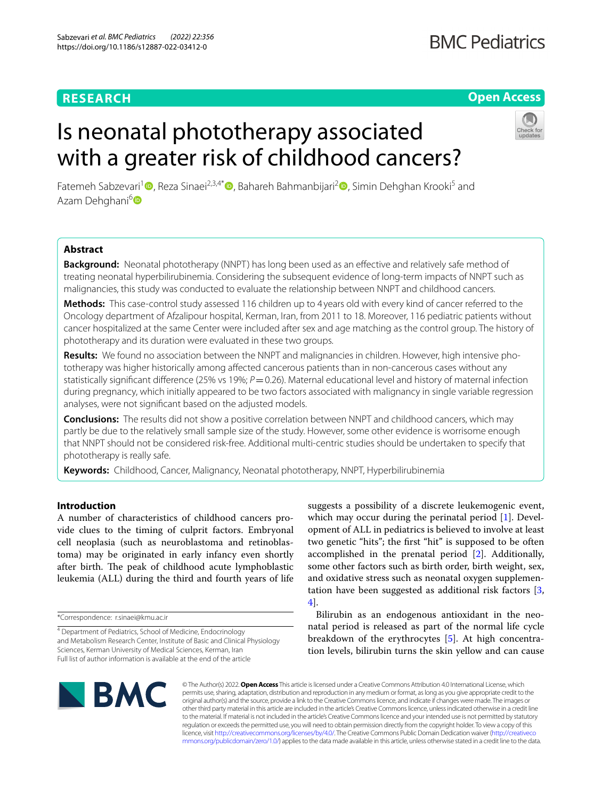# **RESEARCH**

# **Open Access**

# Is neonatal phototherapy associated with a greater risk of childhood cancers?



Fatemeh Sabzevari<sup>[1](https://orcid.org/0000-0001-6483-0183)</sup> , Reza Sinaei<sup>2,3,4[\\*](https://orcid.org/0000-0002-2702-5836)</sup> [,](https://orcid.org/0000-0002-6814-5762) Bahareh Bahmanbijari<sup>2</sup> , Simin Dehghan Krooki<sup>5</sup> and Azam Dehghani<sup>6</sup>

# **Abstract**

**Background:** Neonatal phototherapy (NNPT) has long been used as an efective and relatively safe method of treating neonatal hyperbilirubinemia. Considering the subsequent evidence of long-term impacts of NNPT such as malignancies, this study was conducted to evaluate the relationship between NNPT and childhood cancers.

**Methods:** This case-control study assessed 116 children up to 4 years old with every kind of cancer referred to the Oncology department of Afzalipour hospital, Kerman, Iran, from 2011 to 18. Moreover, 116 pediatric patients without cancer hospitalized at the same Center were included after sex and age matching as the control group. The history of phototherapy and its duration were evaluated in these two groups.

**Results:** We found no association between the NNPT and malignancies in children. However, high intensive phototherapy was higher historically among afected cancerous patients than in non-cancerous cases without any statistically significant difference (25% vs 19%; *P*=0.26). Maternal educational level and history of maternal infection during pregnancy, which initially appeared to be two factors associated with malignancy in single variable regression analyses, were not signifcant based on the adjusted models.

**Conclusions:** The results did not show a positive correlation between NNPT and childhood cancers, which may partly be due to the relatively small sample size of the study. However, some other evidence is worrisome enough that NNPT should not be considered risk-free. Additional multi-centric studies should be undertaken to specify that phototherapy is really safe.

**Keywords:** Childhood, Cancer, Malignancy, Neonatal phototherapy, NNPT, Hyperbilirubinemia

# **Introduction**

A number of characteristics of childhood cancers provide clues to the timing of culprit factors. Embryonal cell neoplasia (such as neuroblastoma and retinoblastoma) may be originated in early infancy even shortly after birth. The peak of childhood acute lymphoblastic leukemia (ALL) during the third and fourth years of life

4 Department of Pediatrics, School of Medicine, Endocrinology and Metabolism Research Center, Institute of Basic and Clinical Physiology Sciences, Kerman University of Medical Sciences, Kerman, Iran Full list of author information is available at the end of the article

suggests a possibility of a discrete leukemogenic event, which may occur during the perinatal period [\[1](#page-5-0)]. Development of ALL in pediatrics is believed to involve at least two genetic "hits"; the frst "hit" is supposed to be often accomplished in the prenatal period [[2\]](#page-5-1). Additionally, some other factors such as birth order, birth weight, sex, and oxidative stress such as neonatal oxygen supplementation have been suggested as additional risk factors [\[3](#page-5-2), [4\]](#page-5-3).

Bilirubin as an endogenous antioxidant in the neonatal period is released as part of the normal life cycle breakdown of the erythrocytes [\[5](#page-5-4)]. At high concentration levels, bilirubin turns the skin yellow and can cause



© The Author(s) 2022. **Open Access** This article is licensed under a Creative Commons Attribution 4.0 International License, which permits use, sharing, adaptation, distribution and reproduction in any medium or format, as long as you give appropriate credit to the original author(s) and the source, provide a link to the Creative Commons licence, and indicate if changes were made. The images or other third party material in this article are included in the article's Creative Commons licence, unless indicated otherwise in a credit line to the material. If material is not included in the article's Creative Commons licence and your intended use is not permitted by statutory regulation or exceeds the permitted use, you will need to obtain permission directly from the copyright holder. To view a copy of this licence, visit [http://creativecommons.org/licenses/by/4.0/.](http://creativecommons.org/licenses/by/4.0/) The Creative Commons Public Domain Dedication waiver ([http://creativeco](http://creativecommons.org/publicdomain/zero/1.0/) [mmons.org/publicdomain/zero/1.0/](http://creativecommons.org/publicdomain/zero/1.0/)) applies to the data made available in this article, unless otherwise stated in a credit line to the data.

<sup>\*</sup>Correspondence: r.sinaei@kmu.ac.ir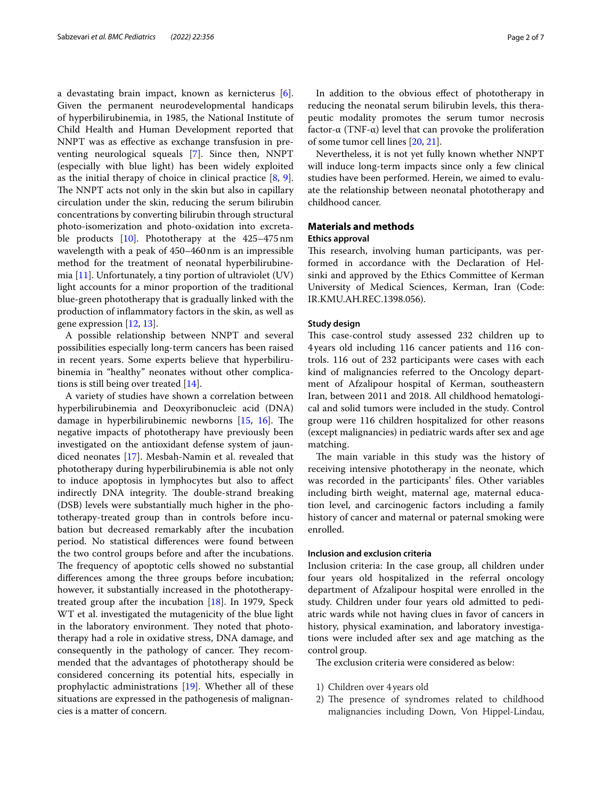a devastating brain impact, known as kernicterus [\[6](#page-6-0)]. Given the permanent neurodevelopmental handicaps of hyperbilirubinemia, in 1985, the National Institute of Child Health and Human Development reported that NNPT was as efective as exchange transfusion in preventing neurological squeals [[7](#page-6-1)]. Since then, NNPT (especially with blue light) has been widely exploited as the initial therapy of choice in clinical practice [[8,](#page-6-2) [9](#page-6-3)]. The NNPT acts not only in the skin but also in capillary circulation under the skin, reducing the serum bilirubin concentrations by converting bilirubin through structural photo-isomerization and photo-oxidation into excretable products [\[10\]](#page-6-4). Phototherapy at the 425–475nm wavelength with a peak of 450–460nm is an impressible method for the treatment of neonatal hyperbilirubinemia [[11](#page-6-5)]. Unfortunately, a tiny portion of ultraviolet (UV) light accounts for a minor proportion of the traditional blue-green phototherapy that is gradually linked with the production of infammatory factors in the skin, as well as gene expression [[12,](#page-6-6) [13](#page-6-7)].

A possible relationship between NNPT and several possibilities especially long-term cancers has been raised in recent years. Some experts believe that hyperbilirubinemia in "healthy" neonates without other complications is still being over treated [[14](#page-6-8)].

A variety of studies have shown a correlation between hyperbilirubinemia and Deoxyribonucleic acid (DNA) damage in hyperbilirubinemic newborns  $[15, 16]$  $[15, 16]$  $[15, 16]$ . The negative impacts of phototherapy have previously been investigated on the antioxidant defense system of jaundiced neonates [[17\]](#page-6-11). Mesbah-Namin et al. revealed that phototherapy during hyperbilirubinemia is able not only to induce apoptosis in lymphocytes but also to afect indirectly DNA integrity. The double-strand breaking (DSB) levels were substantially much higher in the phototherapy-treated group than in controls before incubation but decreased remarkably after the incubation period. No statistical diferences were found between the two control groups before and after the incubations. The frequency of apoptotic cells showed no substantial diferences among the three groups before incubation; however, it substantially increased in the phototherapytreated group after the incubation [[18](#page-6-12)]. In 1979, Speck WT et al. investigated the mutagenicity of the blue light in the laboratory environment. They noted that phototherapy had a role in oxidative stress, DNA damage, and consequently in the pathology of cancer. They recommended that the advantages of phototherapy should be considered concerning its potential hits, especially in prophylactic administrations [\[19](#page-6-13)]. Whether all of these situations are expressed in the pathogenesis of malignancies is a matter of concern.

In addition to the obvious efect of phototherapy in reducing the neonatal serum bilirubin levels, this therapeutic modality promotes the serum tumor necrosis factor-α (TNF-α) level that can provoke the proliferation of some tumor cell lines [[20,](#page-6-14) [21\]](#page-6-15).

Nevertheless, it is not yet fully known whether NNPT will induce long-term impacts since only a few clinical studies have been performed. Herein, we aimed to evaluate the relationship between neonatal phototherapy and childhood cancer.

# **Materials and methods**

# **Ethics approval**

This research, involving human participants, was performed in accordance with the Declaration of Helsinki and approved by the Ethics Committee of Kerman University of Medical Sciences, Kerman, Iran (Code: IR.KMU.AH.REC.1398.056).

# **Study design**

This case-control study assessed 232 children up to 4years old including 116 cancer patients and 116 controls. 116 out of 232 participants were cases with each kind of malignancies referred to the Oncology department of Afzalipour hospital of Kerman, southeastern Iran, between 2011 and 2018. All childhood hematological and solid tumors were included in the study. Control group were 116 children hospitalized for other reasons (except malignancies) in pediatric wards after sex and age matching.

The main variable in this study was the history of receiving intensive phototherapy in the neonate, which was recorded in the participants' fles. Other variables including birth weight, maternal age, maternal education level, and carcinogenic factors including a family history of cancer and maternal or paternal smoking were enrolled.

# **Inclusion and exclusion criteria**

Inclusion criteria: In the case group, all children under four years old hospitalized in the referral oncology department of Afzalipour hospital were enrolled in the study. Children under four years old admitted to pediatric wards while not having clues in favor of cancers in history, physical examination, and laboratory investigations were included after sex and age matching as the control group.

The exclusion criteria were considered as below:

- 1) Children over 4 years old
- 2) The presence of syndromes related to childhood malignancies including Down, Von Hippel-Lindau,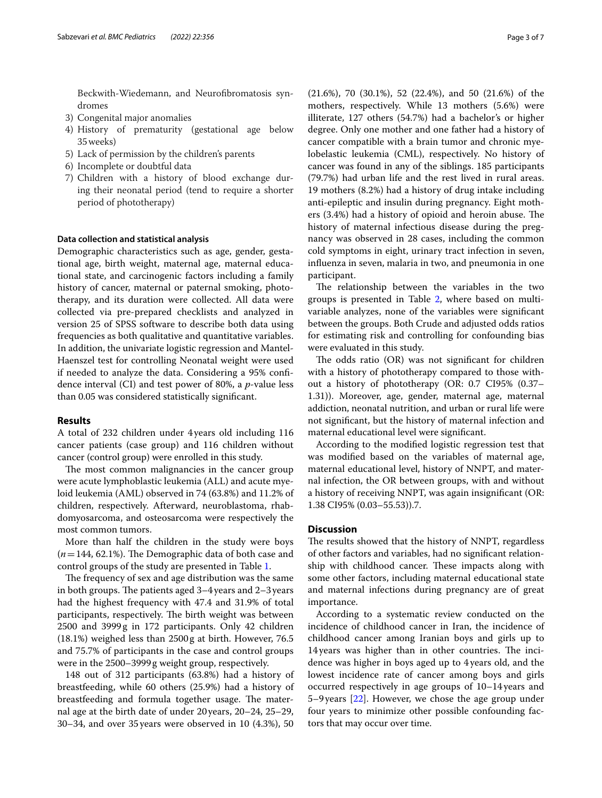Beckwith-Wiedemann, and Neurofbromatosis syndromes

- 3) Congenital major anomalies
- 4) History of prematurity (gestational age below 35weeks)
- 5) Lack of permission by the children's parents
- 6) Incomplete or doubtful data
- 7) Children with a history of blood exchange during their neonatal period (tend to require a shorter period of phototherapy)

# **Data collection and statistical analysis**

Demographic characteristics such as age, gender, gestational age, birth weight, maternal age, maternal educational state, and carcinogenic factors including a family history of cancer, maternal or paternal smoking, phototherapy, and its duration were collected. All data were collected via pre-prepared checklists and analyzed in version 25 of SPSS software to describe both data using frequencies as both qualitative and quantitative variables. In addition, the univariate logistic regression and Mantel-Haenszel test for controlling Neonatal weight were used if needed to analyze the data. Considering a 95% confdence interval (CI) and test power of 80%, a *p*-value less than 0.05 was considered statistically signifcant.

# **Results**

A total of 232 children under 4years old including 116 cancer patients (case group) and 116 children without cancer (control group) were enrolled in this study.

The most common malignancies in the cancer group were acute lymphoblastic leukemia (ALL) and acute myeloid leukemia (AML) observed in 74 (63.8%) and 11.2% of children, respectively. Afterward, neuroblastoma, rhabdomyosarcoma, and osteosarcoma were respectively the most common tumors.

More than half the children in the study were boys  $(n=144, 62.1\%)$ . The Demographic data of both case and control groups of the study are presented in Table [1](#page-3-0).

The frequency of sex and age distribution was the same in both groups. The patients aged  $3-4$  years and  $2-3$  years had the highest frequency with 47.4 and 31.9% of total participants, respectively. The birth weight was between 2500 and 3999g in 172 participants. Only 42 children (18.1%) weighed less than 2500g at birth. However, 76.5 and 75.7% of participants in the case and control groups were in the 2500–3999g weight group, respectively.

148 out of 312 participants (63.8%) had a history of breastfeeding, while 60 others (25.9%) had a history of breastfeeding and formula together usage. The maternal age at the birth date of under 20years, 20–24, 25–29, 30–34, and over 35years were observed in 10 (4.3%), 50 (21.6%), 70 (30.1%), 52 (22.4%), and 50 (21.6%) of the mothers, respectively. While 13 mothers (5.6%) were illiterate, 127 others (54.7%) had a bachelor's or higher degree. Only one mother and one father had a history of cancer compatible with a brain tumor and chronic myelobelastic leukemia (CML), respectively. No history of cancer was found in any of the siblings. 185 participants (79.7%) had urban life and the rest lived in rural areas. 19 mothers (8.2%) had a history of drug intake including anti-epileptic and insulin during pregnancy. Eight mothers (3.4%) had a history of opioid and heroin abuse. The history of maternal infectious disease during the pregnancy was observed in 28 cases, including the common cold symptoms in eight, urinary tract infection in seven, infuenza in seven, malaria in two, and pneumonia in one participant.

The relationship between the variables in the two groups is presented in Table [2](#page-4-0), where based on multivariable analyzes, none of the variables were signifcant between the groups. Both Crude and adjusted odds ratios for estimating risk and controlling for confounding bias were evaluated in this study.

The odds ratio  $(OR)$  was not significant for children with a history of phototherapy compared to those without a history of phototherapy (OR: 0.7 CI95% (0.37– 1.31)). Moreover, age, gender, maternal age, maternal addiction, neonatal nutrition, and urban or rural life were not signifcant, but the history of maternal infection and maternal educational level were signifcant.

According to the modifed logistic regression test that was modifed based on the variables of maternal age, maternal educational level, history of NNPT, and maternal infection, the OR between groups, with and without a history of receiving NNPT, was again insignifcant (OR: 1.38 CI95% (0.03–55.53)).7.

# **Discussion**

The results showed that the history of NNPT, regardless of other factors and variables, had no signifcant relationship with childhood cancer. These impacts along with some other factors, including maternal educational state and maternal infections during pregnancy are of great importance.

According to a systematic review conducted on the incidence of childhood cancer in Iran, the incidence of childhood cancer among Iranian boys and girls up to 14 years was higher than in other countries. The incidence was higher in boys aged up to 4 years old, and the lowest incidence rate of cancer among boys and girls occurred respectively in age groups of 10–14years and 5–9years [[22](#page-6-16)]. However, we chose the age group under four years to minimize other possible confounding factors that may occur over time.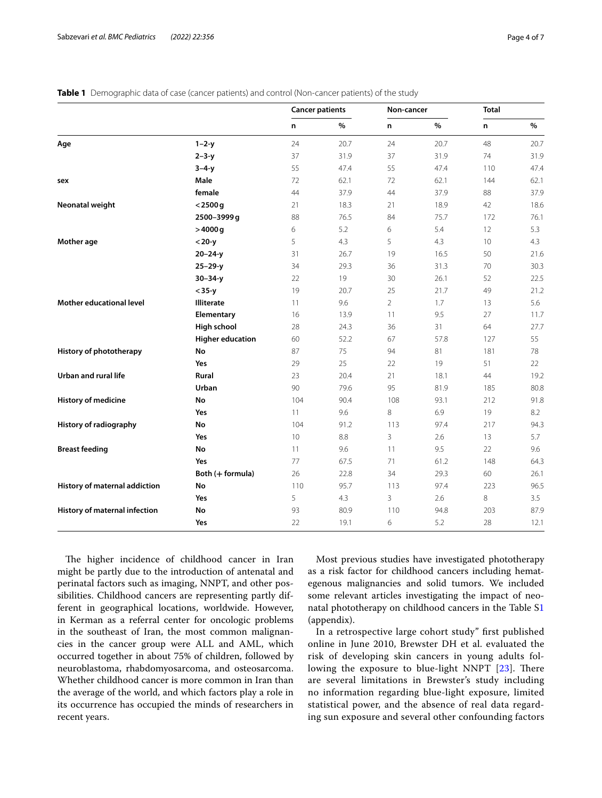|                                 |                         | <b>Cancer patients</b> |      | Non-cancer     |      | <b>Total</b> |      |
|---------------------------------|-------------------------|------------------------|------|----------------|------|--------------|------|
|                                 |                         | n                      | %    | n              | $\%$ | n            | $\%$ |
| Age                             | $1 - 2 - y$             | 24                     | 20.7 | 24             | 20.7 | 48           | 20.7 |
|                                 | $2 - 3 - y$             | 37                     | 31.9 | 37             | 31.9 | 74           | 31.9 |
|                                 | $3 - 4 - y$             | 55                     | 47.4 | 55             | 47.4 | 110          | 47.4 |
| sex                             | Male                    | 72                     | 62.1 | 72             | 62.1 | 144          | 62.1 |
|                                 | female                  | 44                     | 37.9 | 44             | 37.9 | 88           | 37.9 |
| Neonatal weight                 | $<$ 2500 g              | 21                     | 18.3 | 21             | 18.9 | 42           | 18.6 |
|                                 | 2500-3999 g             | 88                     | 76.5 | 84             | 75.7 | 172          | 76.1 |
|                                 | $>4000 g$               | 6                      | 5.2  | 6              | 5.4  | 12           | 5.3  |
| Mother age                      | $<$ 20-y                | 5                      | 4.3  | 5              | 4.3  | 10           | 4.3  |
|                                 | $20 - 24 - y$           | 31                     | 26.7 | 19             | 16.5 | 50           | 21.6 |
|                                 | $25 - 29 - y$           | 34                     | 29.3 | 36             | 31.3 | 70           | 30.3 |
|                                 | $30 - 34 - y$           | 22                     | 19   | 30             | 26.1 | 52           | 22.5 |
|                                 | $<$ 35-y                | 19                     | 20.7 | 25             | 21.7 | 49           | 21.2 |
| <b>Mother educational level</b> | <b>Illiterate</b>       | 11                     | 9.6  | $\overline{2}$ | 1.7  | 13           | 5.6  |
|                                 | Elementary              | 16                     | 13.9 | 11             | 9.5  | 27           | 11.7 |
|                                 | High school             | 28                     | 24.3 | 36             | 31   | 64           | 27.7 |
|                                 | <b>Higher education</b> | 60                     | 52.2 | 67             | 57.8 | 127          | 55   |
| History of phototherapy         | No                      | 87                     | 75   | 94             | 81   | 181          | 78   |
|                                 | Yes                     | 29                     | 25   | 22             | 19   | 51           | 22   |
| Urban and rural life            | <b>Rural</b>            | 23                     | 20.4 | 21             | 18.1 | 44           | 19.2 |
|                                 | Urban                   | 90                     | 79.6 | 95             | 81.9 | 185          | 80.8 |
| History of medicine             | No                      | 104                    | 90.4 | 108            | 93.1 | 212          | 91.8 |
|                                 | Yes                     | 11                     | 9.6  | 8              | 6.9  | 19           | 8.2  |
| History of radiography          | No                      | 104                    | 91.2 | 113            | 97.4 | 217          | 94.3 |
|                                 | Yes                     | 10                     | 8.8  | 3              | 2.6  | 13           | 5.7  |
| <b>Breast feeding</b>           | No                      | 11                     | 9.6  | 11             | 9.5  | 22           | 9.6  |
|                                 | Yes                     | 77                     | 67.5 | 71             | 61.2 | 148          | 64.3 |
|                                 | Both (+ formula)        | 26                     | 22.8 | 34             | 29.3 | 60           | 26.1 |
| History of maternal addiction   | No                      | 110                    | 95.7 | 113            | 97.4 | 223          | 96.5 |
|                                 | Yes                     | 5                      | 4.3  | 3              | 2.6  | 8            | 3.5  |
| History of maternal infection   | No                      | 93                     | 80.9 | 110            | 94.8 | 203          | 87.9 |
|                                 | Yes                     | 22                     | 19.1 | 6              | 5.2  | 28           | 12.1 |

<span id="page-3-0"></span>**Table 1** Demographic data of case (cancer patients) and control (Non-cancer patients) of the study

The higher incidence of childhood cancer in Iran might be partly due to the introduction of antenatal and perinatal factors such as imaging, NNPT, and other possibilities. Childhood cancers are representing partly different in geographical locations, worldwide. However, in Kerman as a referral center for oncologic problems in the southeast of Iran, the most common malignancies in the cancer group were ALL and AML, which occurred together in about 75% of children, followed by neuroblastoma, rhabdomyosarcoma, and osteosarcoma. Whether childhood cancer is more common in Iran than the average of the world, and which factors play a role in its occurrence has occupied the minds of researchers in recent years.

Most previous studies have investigated phototherapy as a risk factor for childhood cancers including hemategenous malignancies and solid tumors. We included some relevant articles investigating the impact of neonatal phototherapy on childhood cancers in the Table S[1](#page-5-5) (appendix).

In a retrospective large cohort study" frst published online in June 2010, Brewster DH et al. evaluated the risk of developing skin cancers in young adults following the exposure to blue-light NNPT  $[23]$  $[23]$  $[23]$ . There are several limitations in Brewster's study including no information regarding blue-light exposure, limited statistical power, and the absence of real data regarding sun exposure and several other confounding factors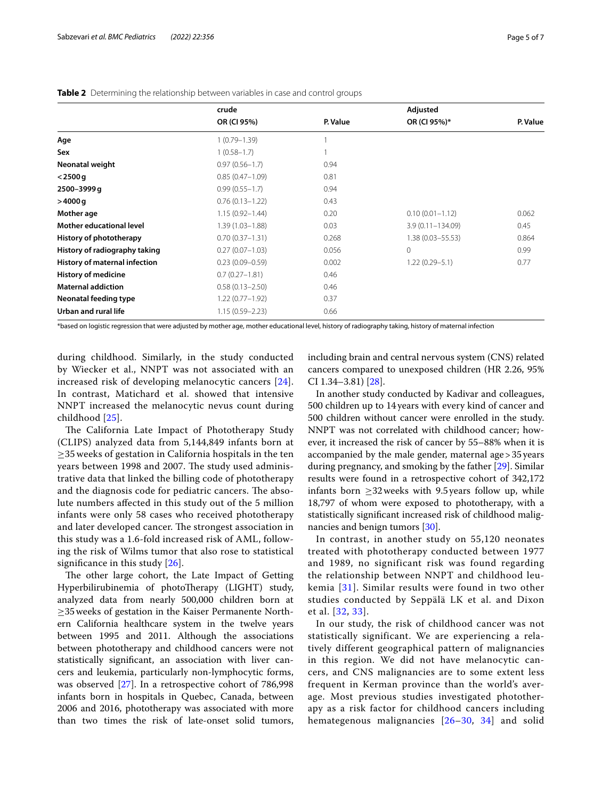|                                 | crude               |          | Adjusted             |          |
|---------------------------------|---------------------|----------|----------------------|----------|
|                                 | OR (CI 95%)         | P. Value | OR (CI 95%)*         | P. Value |
| Age                             | $1(0.79 - 1.39)$    |          |                      |          |
| Sex                             | $1(0.58 - 1.7)$     |          |                      |          |
| Neonatal weight                 | $0.97(0.56 - 1.7)$  | 0.94     |                      |          |
| $<$ 2500 g                      | $0.85(0.47 - 1.09)$ | 0.81     |                      |          |
| 2500-3999 g                     | $0.99(0.55 - 1.7)$  | 0.94     |                      |          |
| >4000q                          | $0.76(0.13 - 1.22)$ | 0.43     |                      |          |
| Mother age                      | $1.15(0.92 - 1.44)$ | 0.20     | $0.10(0.01 - 1.12)$  | 0.062    |
| <b>Mother educational level</b> | $1.39(1.03 - 1.88)$ | 0.03     | $3.9(0.11 - 134.09)$ | 0.45     |
| History of phototherapy         | $0.70(0.37 - 1.31)$ | 0.268    | $1.38(0.03 - 55.53)$ | 0.864    |
| History of radiography taking   | $0.27(0.07 - 1.03)$ | 0.056    | $\Omega$             | 0.99     |
| History of maternal infection   | $0.23(0.09 - 0.59)$ | 0.002    | $1.22(0.29 - 5.1)$   | 0.77     |
| <b>History of medicine</b>      | $0.7(0.27 - 1.81)$  | 0.46     |                      |          |
| <b>Maternal addiction</b>       | $0.58(0.13 - 2.50)$ | 0.46     |                      |          |
| Neonatal feeding type           | $1.22(0.77 - 1.92)$ | 0.37     |                      |          |
| Urban and rural life            | $1.15(0.59 - 2.23)$ | 0.66     |                      |          |

<span id="page-4-0"></span>**Table 2** Determining the relationship between variables in case and control groups

\*based on logistic regression that were adjusted by mother age, mother educational level, history of radiography taking, history of maternal infection

during childhood. Similarly, in the study conducted by Wiecker et al., NNPT was not associated with an increased risk of developing melanocytic cancers [[24\]](#page-6-18). In contrast, Matichard et al. showed that intensive NNPT increased the melanocytic nevus count during childhood [\[25](#page-6-19)].

The California Late Impact of Phototherapy Study (CLIPS) analyzed data from 5,144,849 infants born at ≥35 weeks of gestation in California hospitals in the ten years between 1998 and 2007. The study used administrative data that linked the billing code of phototherapy and the diagnosis code for pediatric cancers. The absolute numbers afected in this study out of the 5 million infants were only 58 cases who received phototherapy and later developed cancer. The strongest association in this study was a 1.6-fold increased risk of AML, following the risk of Wilms tumor that also rose to statistical significance in this study [\[26](#page-6-20)].

The other large cohort, the Late Impact of Getting Hyperbilirubinemia of photoTherapy (LIGHT) study, analyzed data from nearly 500,000 children born at ≥35weeks of gestation in the Kaiser Permanente Northern California healthcare system in the twelve years between 1995 and 2011. Although the associations between phototherapy and childhood cancers were not statistically signifcant, an association with liver cancers and leukemia, particularly non-lymphocytic forms, was observed [[27\]](#page-6-21). In a retrospective cohort of 786,998 infants born in hospitals in Quebec, Canada, between 2006 and 2016, phototherapy was associated with more than two times the risk of late-onset solid tumors, including brain and central nervous system (CNS) related cancers compared to unexposed children (HR 2.26, 95% CI 1.34–3.81) [[28\]](#page-6-22).

In another study conducted by Kadivar and colleagues, 500 children up to 14years with every kind of cancer and 500 children without cancer were enrolled in the study. NNPT was not correlated with childhood cancer; however, it increased the risk of cancer by 55–88% when it is accompanied by the male gender, maternal age>35years during pregnancy, and smoking by the father [[29\]](#page-6-23). Similar results were found in a retrospective cohort of 342,172 infants born  $\geq$ 32 weeks with 9.5 years follow up, while 18,797 of whom were exposed to phototherapy, with a statistically signifcant increased risk of childhood malignancies and benign tumors [[30\]](#page-6-24).

In contrast, in another study on 55,120 neonates treated with phototherapy conducted between 1977 and 1989, no significant risk was found regarding the relationship between NNPT and childhood leukemia [[31](#page-6-25)]. Similar results were found in two other studies conducted by Seppälä LK et al. and Dixon et al. [[32](#page-6-26), [33](#page-6-27)].

In our study, the risk of childhood cancer was not statistically significant. We are experiencing a relatively different geographical pattern of malignancies in this region. We did not have melanocytic cancers, and CNS malignancies are to some extent less frequent in Kerman province than the world's average. Most previous studies investigated phototherapy as a risk factor for childhood cancers including hemategenous malignancies [[26](#page-6-20)–[30,](#page-6-24) [34](#page-6-28)] and solid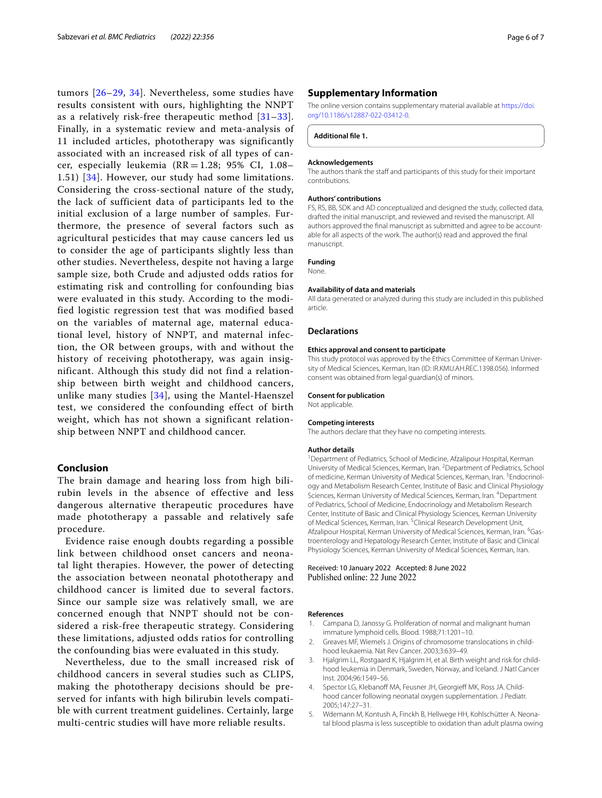tumors [[26](#page-6-20)–[29,](#page-6-23) [34](#page-6-28)]. Nevertheless, some studies have results consistent with ours, highlighting the NNPT as a relatively risk-free therapeutic method  $[31-33]$  $[31-33]$  $[31-33]$ . Finally, in a systematic review and meta-analysis of 11 included articles, phototherapy was significantly associated with an increased risk of all types of cancer, especially leukemia ( $RR = 1.28$ ; 95% CI, 1.08-1.51) [\[34\]](#page-6-28). However, our study had some limitations. Considering the cross-sectional nature of the study, the lack of sufficient data of participants led to the initial exclusion of a large number of samples. Furthermore, the presence of several factors such as agricultural pesticides that may cause cancers led us to consider the age of participants slightly less than other studies. Nevertheless, despite not having a large sample size, both Crude and adjusted odds ratios for estimating risk and controlling for confounding bias were evaluated in this study. According to the modified logistic regression test that was modified based on the variables of maternal age, maternal educational level, history of NNPT, and maternal infection, the OR between groups, with and without the history of receiving phototherapy, was again insignificant. Although this study did not find a relationship between birth weight and childhood cancers, unlike many studies  $[34]$  $[34]$ , using the Mantel-Haenszel test, we considered the confounding effect of birth weight, which has not shown a significant relationship between NNPT and childhood cancer.

# **Conclusion**

The brain damage and hearing loss from high bilirubin levels in the absence of effective and less dangerous alternative therapeutic procedures have made phototherapy a passable and relatively safe procedure.

Evidence raise enough doubts regarding a possible link between childhood onset cancers and neonatal light therapies. However, the power of detecting the association between neonatal phototherapy and childhood cancer is limited due to several factors. Since our sample size was relatively small, we are concerned enough that NNPT should not be considered a risk-free therapeutic strategy. Considering these limitations, adjusted odds ratios for controlling the confounding bias were evaluated in this study.

Nevertheless, due to the small increased risk of childhood cancers in several studies such as CLIPS, making the phototherapy decisions should be preserved for infants with high bilirubin levels compatible with current treatment guidelines. Certainly, large multi-centric studies will have more reliable results.

# **Supplementary Information**

The online version contains supplementary material available at [https://doi.](https://doi.org/10.1186/s12887-022-03412-0) [org/10.1186/s12887-022-03412-0](https://doi.org/10.1186/s12887-022-03412-0).

<span id="page-5-5"></span>**Additional fle 1.**

#### **Acknowledgements**

The authors thank the staff and participants of this study for their important contributions.

#### **Authors' contributions**

FS, RS, BB, SDK and AD conceptualized and designed the study, collected data, drafted the initial manuscript, and reviewed and revised the manuscript. All authors approved the fnal manuscript as submitted and agree to be accountable for all aspects of the work. The author(s) read and approved the fnal manuscript.

# **Funding**

None.

#### **Availability of data and materials**

All data generated or analyzed during this study are included in this published article.

#### **Declarations**

#### **Ethics approval and consent to participate**

This study protocol was approved by the Ethics Committee of Kerman University of Medical Sciences, Kerman, Iran (ID: IR.KMU.AH.REC.1398.056). Informed consent was obtained from legal guardian(s) of minors.

# **Consent for publication**

Not applicable.

#### **Competing interests**

The authors declare that they have no competing interests.

#### **Author details**

<sup>1</sup> Department of Pediatrics, School of Medicine, Afzalipour Hospital, Kerman University of Medical Sciences, Kerman, Iran. <sup>2</sup> Department of Pediatrics, School of medicine, Kerman University of Medical Sciences, Kerman, Iran. <sup>3</sup>Endocrinology and Metabolism Research Center, Institute of Basic and Clinical Physiology Sciences, Kerman University of Medical Sciences, Kerman, Iran. <sup>4</sup>Department of Pediatrics, School of Medicine, Endocrinology and Metabolism Research Center, Institute of Basic and Clinical Physiology Sciences, Kerman University of Medical Sciences, Kerman, Iran. <sup>5</sup> Clinical Research Development Unit, Afzalipour Hospital, Kerman University of Medical Sciences, Kerman, Iran. <sup>6</sup>Gastroenterology and Hepatology Research Center, Institute of Basic and Clinical Physiology Sciences, Kerman University of Medical Sciences, Kerman, Iran.

Received: 10 January 2022 Accepted: 8 June 2022<br>Published online: 22 June 2022

# **References**

- <span id="page-5-0"></span>1. Campana D, Janossy G. Proliferation of normal and malignant human immature lymphoid cells. Blood. 1988;71:1201–10.
- <span id="page-5-1"></span>2. Greaves MF, Wiemels J. Origins of chromosome translocations in childhood leukaemia. Nat Rev Cancer. 2003;3:639–49.
- <span id="page-5-2"></span>3. Hjalgrim LL, Rostgaard K, Hjalgrim H, et al. Birth weight and risk for childhood leukemia in Denmark, Sweden, Norway, and Iceland. J Natl Cancer Inst. 2004;96:1549–56.
- <span id="page-5-3"></span>4. Spector LG, Klebanoff MA, Feusner JH, Georgieff MK, Ross JA. Childhood cancer following neonatal oxygen supplementation. J Pediatr. 2005;147:27–31.
- <span id="page-5-4"></span>5. Wdemann M, Kontush A, Finckh B, Hellwege HH, Kohlschütter A. Neonatal blood plasma is less susceptible to oxidation than adult plasma owing